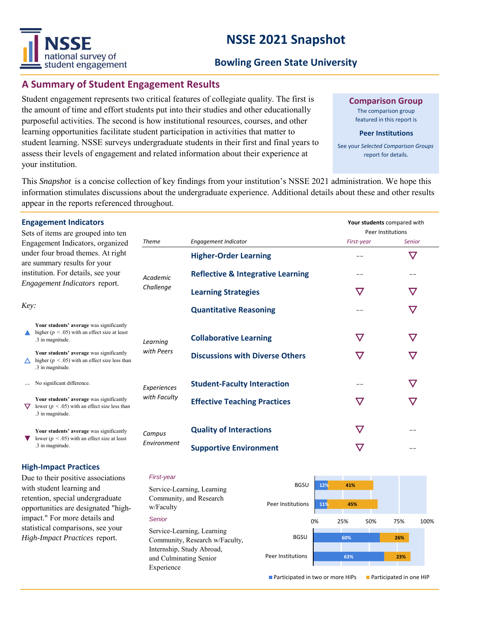# NSSF national survey of student engagement

# **NSSE 2021 Snapshot**

## **Bowling Green State University**

### **A Summary of Student Engagement Results**

Student engagement represents two critical features of collegiate quality. The first is the amount of time and effort students put into their studies and other educationally purposeful activities. The second is how institutional resources, courses, and other learning opportunities facilitate student participation in activities that matter to student learning. NSSE surveys undergraduate students in their first and final years to assess their levels of engagement and related information about their experience at your institution.

**Comparison Group**

The comparison group featured in this report is

#### **Peer Institutions**

See your *Selected Comparison Groups*  report for details.

This *Snapshot* is a concise collection of key findings from your institution's NSSE 2021 administration. We hope this information stimulates discussions about the undergraduate experience. Additional details about these and other results appear in the reports referenced throughout.

|                                                                                                                                             | <b>Engagement Indicators</b><br>Sets of items are grouped into ten                                                 |                        |                                              |               | Your students compared with<br>Peer Institutions |  |
|---------------------------------------------------------------------------------------------------------------------------------------------|--------------------------------------------------------------------------------------------------------------------|------------------------|----------------------------------------------|---------------|--------------------------------------------------|--|
| Engagement Indicators, organized<br>under four broad themes. At right<br>are summary results for your<br>institution. For details, see your |                                                                                                                    | <b>Theme</b>           | Engagement Indicator                         | First-year    | <b>Senior</b>                                    |  |
|                                                                                                                                             |                                                                                                                    | Academic               | <b>Higher-Order Learning</b>                 |               | $\bm{\nabla}$                                    |  |
|                                                                                                                                             |                                                                                                                    |                        | <b>Reflective &amp; Integrative Learning</b> |               |                                                  |  |
|                                                                                                                                             | Engagement Indicators report.                                                                                      | Challenge              | <b>Learning Strategies</b>                   | $\bm{\nabla}$ | $\bf \nabla$                                     |  |
| Key:                                                                                                                                        |                                                                                                                    |                        | <b>Quantitative Reasoning</b>                |               | $\bm{\nabla}$                                    |  |
|                                                                                                                                             | Your students' average was significantly<br>higher ( $p < .05$ ) with an effect size at least<br>.3 in magnitude.  | Learning<br>with Peers | <b>Collaborative Learning</b>                | $\bm{\nabla}$ | $\bm{\nabla}$                                    |  |
|                                                                                                                                             | Your students' average was significantly<br>higher ( $p < .05$ ) with an effect size less than<br>.3 in magnitude. |                        | <b>Discussions with Diverse Others</b>       | ▽             | $\bf \nabla$                                     |  |
|                                                                                                                                             | No significant difference.                                                                                         | Experiences            | <b>Student-Faculty Interaction</b>           |               | $\boldsymbol{\nabla}$                            |  |
|                                                                                                                                             | Your students' average was significantly<br>lower ( $p < .05$ ) with an effect size less than<br>.3 in magnitude.  | with Faculty           | <b>Effective Teaching Practices</b>          | $\bm{\nabla}$ | $\bf \nabla$                                     |  |
|                                                                                                                                             | Your students' average was significantly<br>lower ( $p < .05$ ) with an effect size at least<br>.3 in magnitude.   | Campus<br>Environment  | <b>Quality of Interactions</b>               | $\bm{\nabla}$ | --                                               |  |
|                                                                                                                                             |                                                                                                                    |                        | <b>Supportive Environment</b>                |               | --                                               |  |

### **High-Impact Practices**

Due to their positive associations with student learning and retention, special undergraduate opportunities are designated "highimpact." For more details and statistical comparisons, see your *High-Impact Practices* report.

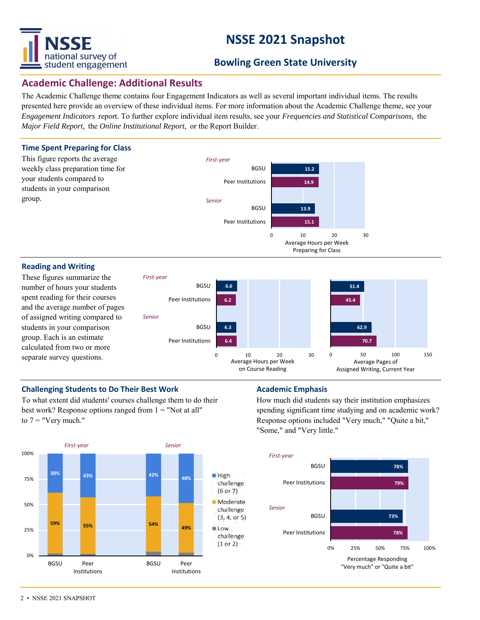

# **NSSE 2021 Snapshot**

## **Bowling Green State University**

### **Academic Challenge: Additional Results**

The Academic Challenge theme contains four Engagement Indicators as well as several important individual items. The results presented here provide an overview of these individual items. For more information about the Academic Challenge theme, see your *Engagement Indicators* report. To further explore individual item results, see your *Frequencies and Statistical Comparisons,* the *Major Field Report,* the *Online Institutional Report,* or the Report Builder.



### **Challenging Students to Do Their Best Work <b>Academic Emphasis**

To what extent did students' courses challenge them to do their best work? Response options ranged from  $1 =$  "Not at all" to  $7 =$  "Very much."



How much did students say their institution emphasizes spending significant time studying and on academic work? Response options included "Very much," "Quite a bit," "Some," and "Very little."

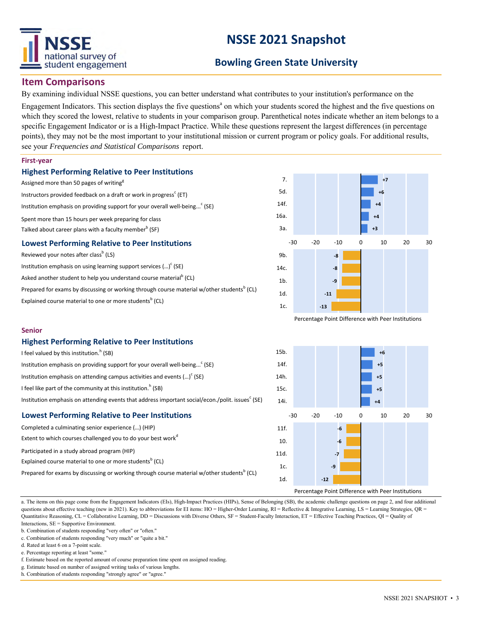

# **NSSE 2021 Snapshot**

## **Bowling Green State University**

### **Item Comparisons**

By examining individual NSSE questions, you can better understand what contributes to your institution's performance on the

Engagement Indicators. This section displays the five questions<sup>a</sup> on which your students scored the highest and the five questions on which they scored the lowest, relative to students in your comparison group. Parenthetical notes indicate whether an item belongs to a specific Engagement Indicator or is a High-Impact Practice. While these questions represent the largest differences (in percentage points), they may not be the most important to your institutional mission or current program or policy goals. For additional results, see your *Frequencies and Statistical Comparisons* report.

#### **First-year**

#### **Highest Performing Relative to Peer Institutions**

Assigned more than 50 pages of writing<sup>g</sup> Instructors provided feedback on a draft or work in progress<sup>c</sup> (ET) Institution emphasis on providing support for your overall well-being...<sup>c</sup> (SE) Spent more than 15 hours per week preparing for class Talked about career plans with a faculty member $^{\rm b}$  (SF) **Lowest Performing Relative to Peer Institutions** Reviewed your notes after class<sup>b</sup> (LS)

| Institution emphasis on using learning support services $()^c$ (SE)                                    |
|--------------------------------------------------------------------------------------------------------|
| Asked another student to help you understand course material <sup>b</sup> (CL)                         |
| Prepared for exams by discussing or working through course material w/other students <sup>b</sup> (CL) |
| Explained course material to one or more students <sup>b</sup> (CL)                                    |



Percentage Point Difference with Peer Institutions



### **Highest Performing Relative to Peer Institutions**

| <b>Lowest Performing Relative to Peer Institutions</b>                                                       |  |  |  |  |  |  |
|--------------------------------------------------------------------------------------------------------------|--|--|--|--|--|--|
| Institution emphasis on attending events that address important social/econ./polit. issues <sup>c</sup> (SE) |  |  |  |  |  |  |
| I feel like part of the community at this institution. <sup>h</sup> (SB)                                     |  |  |  |  |  |  |
| Institution emphasis on attending campus activities and events $()^c$ (SE)                                   |  |  |  |  |  |  |
| Institution emphasis on providing support for your overall well-being <sup>c</sup> (SE)                      |  |  |  |  |  |  |
| I feel valued by this institution. <sup>h</sup> (SB)                                                         |  |  |  |  |  |  |

## Completed a culminating senior experience (…) (HIP) Extent to which courses challenged you to do your best work $d$ Participated in a study abroad program (HIP) Explained course material to one or more students<sup>b</sup> (CL) Prepared for exams by discussing or working through course material w/other students<sup>b</sup> (CL)



a. The items on this page come from the Engagement Indicators (EIs), High-Impact Practices (HIPs), Sense of Belonging (SB), the academic challenge questions on page 2, and four additional questions about effective teaching (new in 2021). Key to abbreviations for EI items: HO = Higher-Order Learning, RI = Reflective & Integrative Learning, LS = Learning Strategies, QR = Quantitative Reasoning, CL = Collaborative Learning, DD = Discussions with Diverse Others, SF = Student-Faculty Interaction, ET = Effective Teaching Practices, QI = Quality of Interactions, SE = Supportive Environment.

b. Combination of students responding "very often" or "often."

d. Rated at least 6 on a 7-point scale.

e. Percentage reporting at least "some."

f. Estimate based on the reported amount of course preparation time spent on assigned reading.

g. Estimate based on number of assigned writing tasks of various lengths.

h. Combination of students responding "strongly agree" or "agree."

c. Combination of students responding "very much" or "quite a bit."